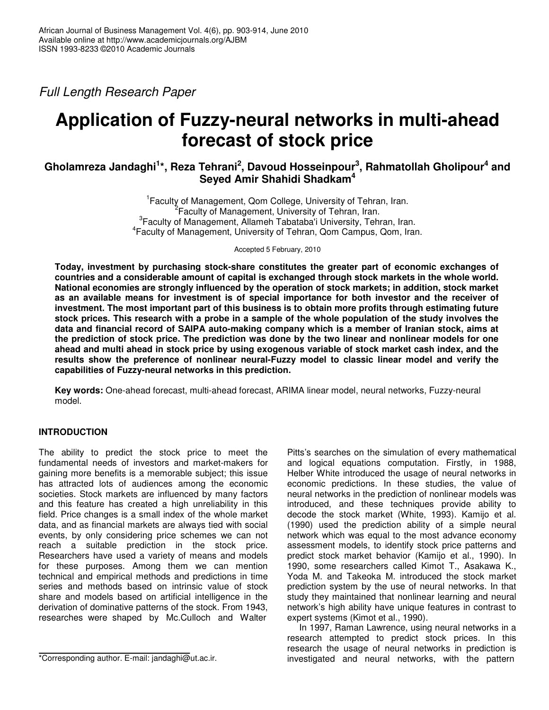*Full Length Research Paper*

# **Application of Fuzzy-neural networks in multi-ahead forecast of stock price**

# **Gholamreza Jandaghi 1 \*, Reza Tehrani 2 , Davoud Hosseinpour 3 , Rahmatollah Gholipour 4 and Seyed Amir Shahidi Shadkam 4**

<sup>1</sup> Faculty of Management, Qom College, University of Tehran, Iran. <sup>2</sup> Faculty of Management, University of Tehran, Iran. <sup>3</sup> Faculty of Management, Allameh Tabataba'i University, Tehran, Iran. 4 Faculty of Management, University of Tehran, Qom Campus, Qom, Iran.

Accepted 5 February, 2010

**Today, investment by purchasing stock-share constitutes the greater part of economic exchanges of countries and a considerable amount of capital is exchanged through stock markets in the whole world. National economies are strongly influenced by the operation of stock markets; in addition, stock market as an available means for investment is of special importance for both investor and the receiver of investment. The most important part of this business is to obtain more profits through estimating future** stock prices. This research with a probe in a sample of the whole population of the study involves the **data and financial record of SAIPA auto-making company which is a member of Iranian stock, aims at** the prediction of stock price. The prediction was done by the two linear and nonlinear models for one ahead and multi ahead in stock price by using exogenous variable of stock market cash index, and the **results show the preference of nonlinear neural-Fuzzy model to classic linear model and verify the capabilities of Fuzzy-neural networks in this prediction.**

**Key words:** One-ahead forecast, multi-ahead forecast, ARIMA linear model, neural networks, Fuzzy-neural model.

# **INTRODUCTION**

The ability to predict the stock price to meet the fundamental needs of investors and market-makers for gaining more benefits is a memorable subject; this issue has attracted lots of audiences among the economic societies. Stock markets are influenced by many factors and this feature has created a high unreliability in this field. Price changes is a small index of the whole market data, and as financial markets are always tied with social events, by only considering price schemes we can not reach a suitable prediction in the stock price. Researchers have used a variety of means and models for these purposes. Among them we can mention technical and empirical methods and predictions in time series and methods based on intrinsic value of stock share and models based on artificial intelligence in the derivation of dominative patterns of the stock. From 1943, researches were shaped by Mc.Culloch and Walter

Pitts's searches on the simulation of every mathematical and logical equations computation. Firstly, in 1988, Helber White introduced the usage of neural networks in economic predictions. In these studies, the value of neural networks in the prediction of nonlinear models was introduced, and these techniques provide ability to decode the stock market (White, 1993). Kamijo et al. (1990) used the prediction ability of a simple neural network which was equal to the most advance economy assessment models, to identify stock price patterns and predict stock market behavior (Kamijo et al., 1990). In 1990, some researchers called Kimot T., Asakawa K., Yoda M. and Takeoka M. introduced the stock market prediction system by the use of neural networks. In that study they maintained that nonlinear learning and neural network's high ability have unique features in contrast to expert systems (Kimot et al., 1990).

In 1997, Raman Lawrence, using neural networks in a research attempted to predict stock prices. In this research the usage of neural networks in prediction is investigated and neural networks, with the pattern

<sup>\*</sup>Corresponding author. E-mail: jandaghi@ut.ac.ir.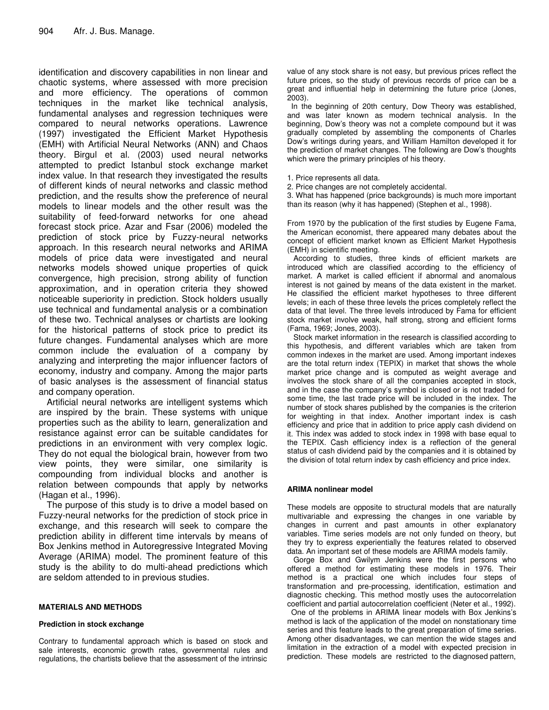identification and discovery capabilities in non linear and chaotic systems, where assessed with more precision and more efficiency. The operations of common techniques in the market like technical analysis, fundamental analyses and regression techniques were compared to neural networks operations. Lawrence (1997) investigated the Efficient Market Hypothesis (EMH) with Artificial Neural Networks (ANN) and Chaos theory. Birgul et al. (2003) used neural networks attempted to predict Istanbul stock exchange market index value. In that research they investigated the results of different kinds of neural networks and classic method prediction, and the results show the preference of neural models to linear models and the other result was the suitability of feed-forward networks for one ahead forecast stock price. Azar and Fsar (2006) modeled the prediction of stock price by Fuzzy-neural networks approach. In this research neural networks and ARIMA models of price data were investigated and neural networks models showed unique properties of quick convergence, high precision, strong ability of function approximation, and in operation criteria they showed noticeable superiority in prediction. Stock holders usually use technical and fundamental analysis or a combination of these two. Technical analyses or chartists are looking for the historical patterns of stock price to predict its future changes. Fundamental analyses which are more common include the evaluation of a company by analyzing and interpreting the major influencer factors of economy, industry and company. Among the major parts of basic analyses is the assessment of financial status and company operation.

Artificial neural networks are intelligent systems which are inspired by the brain. These systems with unique properties such as the ability to learn, generalization and resistance against error can be suitable candidates for predictions in an environment with very complex logic. They do not equal the biological brain, however from two view points, they were similar, one similarity is compounding from individual blocks and another is relation between compounds that apply by networks (Hagan et al., 1996).

The purpose of this study is to drive a model based on Fuzzy-neural networks for the prediction of stock price in exchange, and this research will seek to compare the prediction ability in different time intervals by means of Box Jenkins method in Autoregressive Integrated Moving Average (ARIMA) model. The prominent feature of this study is the ability to do multi-ahead predictions which are seldom attended to in previous studies.

## **MATERIALS AND METHODS**

## **Prediction in stock exchange**

Contrary to fundamental approach which is based on stock and sale interests, economic growth rates, governmental rules and regulations, the chartists believe that the assessment of the intrinsic

value of any stock share is not easy, but previous prices reflect the future prices, so the study of previous records of price can be a great and influential help in determining the future price (Jones, 2003).

In the beginning of 20th century, Dow Theory was established, and was later known as modern technical analysis. In the beginning, Dow's theory was not a complete compound but it was gradually completed by assembling the components of Charles Dow's writings during years, and William Hamilton developed it for the prediction of market changes. The following are Dow's thoughts which were the primary principles of his theory.

- 1. Price represents all data.
- 2. Price changes are not completely accidental.

3. What has happened (price backgrounds) is much more important than its reason (why it has happened) (Stephen et al., 1998).

From 1970 by the publication of the first studies by Eugene Fama, the American economist, there appeared many debates about the concept of efficient market known as Efficient Market Hypothesis (EMH) in scientific meeting.

According to studies, three kinds of efficient markets are introduced which are classified according to the efficiency of market. A market is called efficient if abnormal and anomalous interest is not gained by means of the data existent in the market. He classified the efficient market hypotheses to three different levels; in each of these three levels the prices completely reflect the data of that level. The three levels introduced by Fama for efficient stock market involve weak, half strong, strong and efficient forms (Fama, 1969; Jones, 2003).

Stock market information in the research is classified according to this hypothesis, and different variables which are taken from common indexes in the market are used. Among important indexes are the total return index (TEPIX) in market that shows the whole market price change and is computed as weight average and involves the stock share of all the companies accepted in stock, and in the case the company's symbol is closed or is not traded for some time, the last trade price will be included in the index. The number of stock shares published by the companies is the criterion for weighting in that index. Another important index is cash efficiency and price that in addition to price apply cash dividend on it. This index was added to stock index in 1998 with base equal to the TEPIX. Cash efficiency index is a reflection of the general status of cash dividend paid by the companies and it is obtained by the division of total return index by cash efficiency and price index.

## **ARIMA nonlinear model**

These models are opposite to structural models that are naturally multivariable and expressing the changes in one variable by changes in current and past amounts in other explanatory variables. Time series models are not only funded on theory, but they try to express experientially the features related to observed data. An important set of these models are ARIMA models family.

Gorge Box and Gwilym Jenkins were the first persons who offered a method for estimating these models in 1976. Their method is a practical one which includes four steps of transformation and pre-processing, identification, estimation and diagnostic checking. This method mostly uses the autocorrelation coefficient and partial autocorrelation coefficient (Neter et al., 1992).

One of the problems in ARIMA linear models with Box Jenkins's method is lack of the application of the model on nonstationary time series and this feature leads to the great preparation of time series. Among other disadvantages, we can mention the wide stages and limitation in the extraction of a model with expected precision in prediction. These models are restricted to the diagnosed pattern,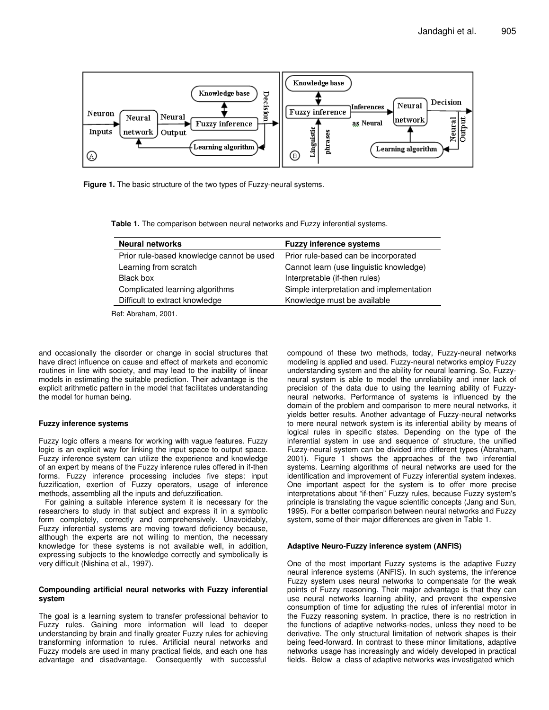

**Figure 1.** The basic structure of the two types of Fuzzy-neural systems.

**Table 1.** The comparison between neural networks and Fuzzy inferential systems.

| <b>Neural networks</b>                    | <b>Fuzzy inference systems</b>           |
|-------------------------------------------|------------------------------------------|
| Prior rule-based knowledge cannot be used | Prior rule-based can be incorporated     |
| Learning from scratch                     | Cannot learn (use linguistic knowledge)  |
| Black box                                 | Interpretable (if-then rules)            |
| Complicated learning algorithms           | Simple interpretation and implementation |
| Difficult to extract knowledge            | Knowledge must be available              |

Ref: Abraham, 2001.

and occasionally the disorder or change in social structures that have direct influence on cause and effect of markets and economic routines in line with society, and may lead to the inability of linear models in estimating the suitable prediction. Their advantage is the explicit arithmetic pattern in the model that facilitates understanding the model for human being.

## **Fuzzy inference systems**

Fuzzy logic offers a means for working with vague features. Fuzzy logic is an explicit way for linking the input space to output space. Fuzzy inference system can utilize the experience and knowledge of an expert by means of the Fuzzy inference rules offered in if-then forms. Fuzzy inference processing includes five steps: input fuzzification, exertion of Fuzzy operators, usage of inference methods, assembling all the inputs and defuzzification.

For gaining a suitable inference system it is necessary for the researchers to study in that subject and express it in a symbolic form completely, correctly and comprehensively. Unavoidably, Fuzzy inferential systems are moving toward deficiency because, although the experts are not willing to mention, the necessary knowledge for these systems is not available well, in addition, expressing subjects to the knowledge correctly and symbolically is very difficult (Nishina et al., 1997).

## **Compounding artificial neural networks with Fuzzy inferential system**

The goal is a learning system to transfer professional behavior to Fuzzy rules. Gaining more information will lead to deeper understanding by brain and finally greater Fuzzy rules for achieving transforming information to rules. Artificial neural networks and Fuzzy models are used in many practical fields, and each one has advantage and disadvantage. Consequently with successful

compound of these two methods, today, Fuzzy-neural networks modeling is applied and used. Fuzzy-neural networks employ Fuzzy understanding system and the ability for neural learning. So, Fuzzyneural system is able to model the unreliability and inner lack of precision of the data due to using the learning ability of Fuzzyneural networks. Performance of systems is influenced by the domain of the problem and comparison to mere neural networks, it yields better results. Another advantage of Fuzzy-neural networks to mere neural network system is its inferential ability by means of logical rules in specific states. Depending on the type of the inferential system in use and sequence of structure, the unified Fuzzy-neural system can be divided into different types (Abraham, 2001). Figure 1 shows the approaches of the two inferential systems. Learning algorithms of neural networks are used for the identification and improvement of Fuzzy inferential system indexes. One important aspect for the system is to offer more precise interpretations about "if-then" Fuzzy rules, because Fuzzy system's principle is translating the vague scientific concepts (Jang and Sun, 1995). For a better comparison between neural networks and Fuzzy system, some of their major differences are given in Table 1.

#### **Adaptive Neuro-Fuzzy inference system (ANFIS)**

One of the most important Fuzzy systems is the adaptive Fuzzy neural inference systems (ANFIS). In such systems, the inference Fuzzy system uses neural networks to compensate for the weak points of Fuzzy reasoning. Their major advantage is that they can use neural networks learning ability, and prevent the expensive consumption of time for adjusting the rules of inferential motor in the Fuzzy reasoning system. In practice, there is no restriction in the functions of adaptive networks-nodes, unless they need to be derivative. The only structural limitation of network shapes is their being feed-forward. In contrast to these minor limitations, adaptive networks usage has increasingly and widely developed in practical fields. Below a class of adaptive networks was investigated which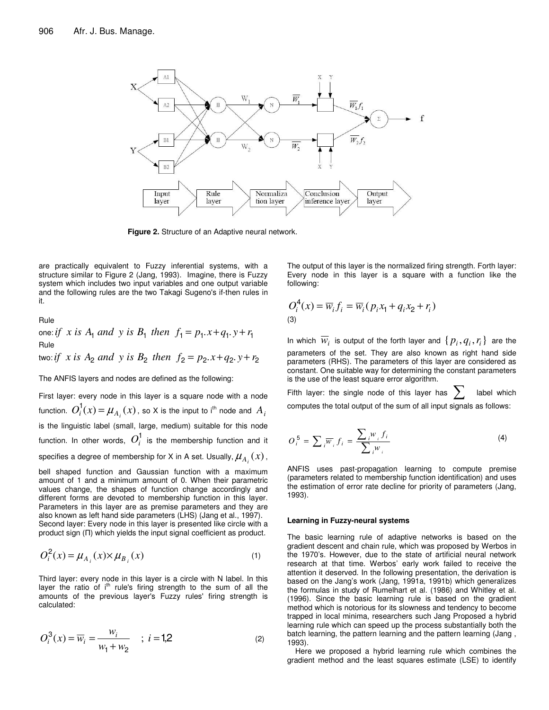

**Figure 2.** Structure of an Adaptive neural network.

are practically equivalent to Fuzzy inferential systems, with a structure similar to Figure 2 (Jang, 1993). Imagine, there is Fuzzy system which includes two input variables and one output variable and the following rules are the two Takagi Sugeno's if-then rules in it.

Rule

one: *if x is*  $A_1$  *and y is*  $B_1$  *then*  $f_1 = p_1 \cdot x + q_1 \cdot y + r_1$ Rule  $i\pi$  *is*  $A_2$  *and*  $y$  *is*  $B_2$  *then*  $f_2 = p_2 \cdot x + q_2 \cdot y + r_2$ 

The ANFIS layers and nodes are defined as the following:

First layer: every node in this layer is a square node with a node function.  $O_i^1(x) = \mu_{A_i}(x)$  , so X is the input to i<sup>th</sup> node and  $A_i$ is the linguistic label (small, large, medium) suitable for this node function. In other words,  $O_i^1$  is the membership function and it specifies a degree of membership for X in A set. Usually,  $\mu_{A_{i}}^{}(x)$  , bell shaped function and Gaussian function with a maximum amount of 1 and a minimum amount of 0. When their parametric values change, the shapes of function change accordingly and different forms are devoted to membership function in this layer. Parameters in this layer are as premise parameters and they are also known as left hand side parameters (LHS) (Jang et al., 1997). Second layer: Every node in this layer is presented like circle with a product sign  $(\Pi)$  which yields the input signal coefficient as product.

$$
O_i^2(x) = \mu_{A_i}(x) \times \mu_{B_i}(x) \tag{1}
$$

Third layer: every node in this layer is a circle with N label. In this layer the ratio of i<sup>th</sup> rule's firing strength to the sum of all the amounts of the previous layer's Fuzzy rules' firing strength is calculated:

$$
O_i^3(x) = \overline{w}_i = \frac{w_i}{w_1 + w_2} \quad ; \ i = 1,2 \tag{2}
$$

The output of this layer is the normalized firing strength. Forth layer: Every node in this layer is a square with a function like the following:

$$
O_i^4(x) = \overline{w}_i f_i = \overline{w}_i (p_i x_1 + q_i x_2 + r_i)
$$
  
(3)

In which  $\overline{w}_i$  is output of the forth layer and  $\set{p_i, q_i, r_i}$  are the parameters of the set. They are also known as right hand side parameters (RHS). The parameters of this layer are considered as constant. One suitable way for determining the constant parameters is the use of the least square error algorithm.

Fifth layer: the single node of this layer has  $\sum$  label which computes the total output of the sum of all input signals as follows:

$$
O_i^5 = \sum_i \overline{w}_i f_i = \frac{\sum_i w_i f_i}{\sum_i w_i}
$$
 (4)

ANFIS uses past-propagation learning to compute premise (parameters related to membership function identification) and uses the estimation of error rate decline for priority of parameters (Jang, 1993).

#### **Learning in Fuzzy-neural systems**

The basic learning rule of adaptive networks is based on the gradient descent and chain rule, which was proposed by Werbos in the 1970's. However, due to the state of artificial neural network research at that time. Werbos' early work failed to receive the attention it deserved. In the following presentation, the derivation is based on the Jang's work (Jang, 1991a, 1991b) which generalizes the formulas in study of Rumelhart et al. (1986) and Whitley et al. (1996). Since the basic learning rule is based on the gradient method which is notorious for its slowness and tendency to become trapped in local minima, researchers such Jang Proposed a hybrid learning rule which can speed up the process substantially both the batch learning, the pattern learning and the pattern learning (Jang , 1993).

Here we proposed a hybrid learning rule which combines the gradient method and the least squares estimate (LSE) to identify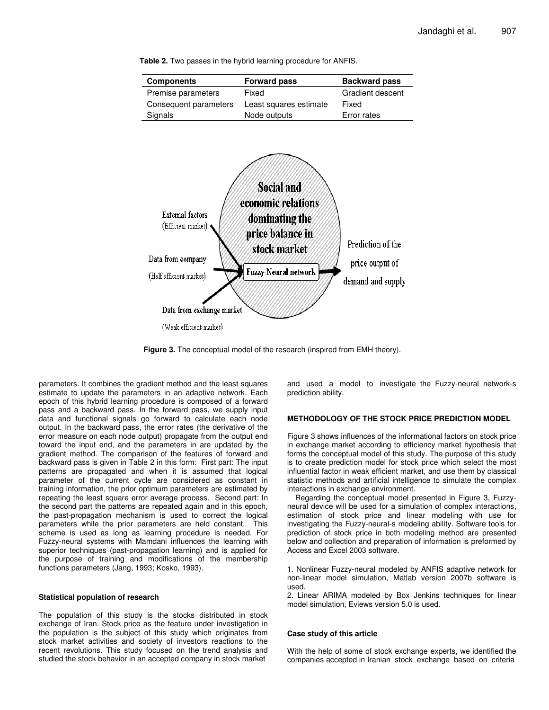**Components Forward pass Backward pass** Premise parameters Fixed Gradient descent Consequent parameters Least squares estimate Fixed Signals **Node outputs** Error rates

**Table 2.** Two passes in the hybrid learning procedure for ANFIS.





**Figure 3.** The conceptual model of the research (inspired from EMH theory).

parameters. It combines the gradient method and the least squares estimate to update the parameters in an adaptive network. Each epoch of this hybrid learning procedure is composed of a forward pass and a backward pass. In the forward pass, we supply input data and functional signals go forward to calculate each node output. In the backward pass, the error rates (the derivative of the error measure on each node output) propagate from the output end toward the input end, and the parameters in are updated by the gradient method. The comparison of the features of forward and backward pass is given in Table 2 in this form: First part: The input patterns are propagated and when it is assumed that logical parameter of the current cycle are considered as constant in training information, the prior optimum parameters are estimated by repeating the least square error average process. Second part: In the second part the patterns are repeated again and in this epoch, the past-propagation mechanism is used to correct the logical parameters while the prior parameters are held constant. This scheme is used as long as learning procedure is needed. For Fuzzy-neural systems with Mamdani influences the learning with superior techniques (past-propagation learning) and is applied for the purpose of training and modifications of the membership functions parameters (Jang, 1993; Kosko, 1993).

#### **Statistical population of research**

The population of this study is the stocks distributed in stock exchange of Iran. Stock price as the feature under investigation in the population is the subject of this study which originates from stock market activities and society of investors reactions to the recent revolutions. This study focused on the trend analysis and studied the stock behavior in an accepted company in stock market

and used a model to investigate the Fuzzy-neural network-s prediction ability.

## **METHODOLOGY OF THE STOCK PRICE PREDICTION MODEL**

Figure 3 shows influences of the informational factors on stock price in exchange market according to efficiency market hypothesis that forms the conceptual model of this study. The purpose of this study is to create prediction model for stock price which select the most influential factor in weak efficient market, and use them by classical statistic methods and artificial intelligence to simulate the complex interactions in exchange environment.

Regarding the conceptual model presented in Figure 3, Fuzzyneural device will be used for a simulation of complex interactions, estimation of stock price and linear modeling with use for investigating the Fuzzy-neural-s modeling ability. Software tools for prediction of stock price in both modeling method are presented below and collection and preparation of information is preformed by Access and Excel 2003 software.

1. Nonlinear Fuzzy-neural modeled by ANFIS adaptive network for non-linear model simulation, Matlab version 2007b software is used.

2. Linear ARIMA modeled by Box Jenkins techniques for linear model simulation, Eviews version 5.0 is used.

#### **Case study of this article**

With the help of some of stock exchange experts, we identified the companies accepted in Iranian stock exchange based on criteria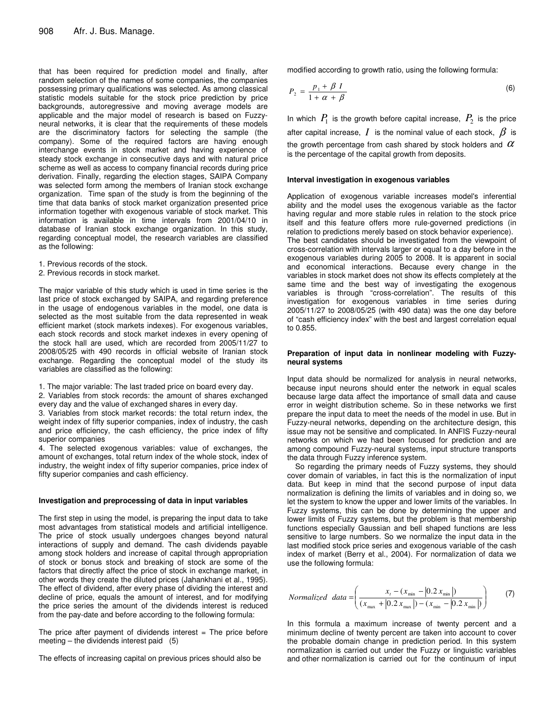that has been required for prediction model and finally, after random selection of the names of some companies, the companies possessing primary qualifications was selected. As among classical statistic models suitable for the stock price prediction by price backgrounds, autoregressive and moving average models are applicable and the major model of research is based on Fuzzyneural networks, it is clear that the requirements of these models are the discriminatory factors for selecting the sample (the company). Some of the required factors are having enough interchange events in stock market and having experience of steady stock exchange in consecutive days and with natural price scheme as well as access to company financial records during price derivation. Finally, regarding the election stages, SAIPA Company was selected form among the members of Iranian stock exchange organization. Time span of the study is from the beginning of the time that data banks of stock market organization presented price information together with exogenous variable of stock market. This information is available in time intervals from 2001/04/10 in database of Iranian stock exchange organization. In this study, regarding conceptual model, the research variables are classified as the following:

- 1. Previous records of the stock.
- 2. Previous records in stock market.

The major variable of this study which is used in time series is the last price of stock exchanged by SAIPA, and regarding preference in the usage of endogenous variables in the model, one data is selected as the most suitable from the data represented in weak efficient market (stock markets indexes). For exogenous variables, each stock records and stock market indexes in every opening of the stock hall are used, which are recorded from 2005/11/27 to 2008/05/25 with 490 records in official website of Iranian stock exchange. Regarding the conceptual model of the study its variables are classified as the following:

1. The major variable: The last traded price on board every day.

2. Variables from stock records: the amount of shares exchanged every day and the value of exchanged shares in every day.

3. Variables from stock market records: the total return index, the weight index of fifty superior companies, index of industry, the cash and price efficiency, the cash efficiency, the price index of fifty superior companies

4. The selected exogenous variables: value of exchanges, the amount of exchanges, total return index of the whole stock, index of industry, the weight index of fifty superior companies, price index of fifty superior companies and cash efficiency.

#### **Investigation and preprocessing of data in input variables**

The first step in using the model, is preparing the input data to take most advantages from statistical models and artificial intelligence. The price of stock usually undergoes changes beyond natural interactions of supply and demand. The cash dividends payable among stock holders and increase of capital through appropriation of stock or bonus stock and breaking of stock are some of the factors that directly affect the price of stock in exchange market, in other words they create the diluted prices (Jahankhani et al., 1995). The effect of dividend, after every phase of dividing the interest and decline of price, equals the amount of interest, and for modifying the price series the amount of the dividends interest is reduced from the pay-date and before according to the following formula:

The price after payment of dividends interest  $=$  The price before meeting – the dividends interest paid (5)

The effects of increasing capital on previous prices should also be

modified according to growth ratio, using the following formula:

$$
P_2 = \frac{p_1 + \beta I}{1 + \alpha + \beta} \tag{6}
$$

In which  $P_{1}$  is the growth before capital increase,  $P_{2}$  is the price after capital increase,  $I$  is the nominal value of each stock,  $\beta$  is the growth percentage from cash shared by stock holders and  $\alpha$ is the percentage of the capital growth from deposits.

#### **Interval investigation in exogenous variables**

Application of exogenous variable increases model's inferential ability and the model uses the exogenous variable as the factor having regular and more stable rules in relation to the stock price itself and this feature offers more rule-governed predictions (in relation to predictions merely based on stock behavior experience). The best candidates should be investigated from the viewpoint of cross-correlation with intervals larger or equal to a day before in the exogenous variables during 2005 to 2008. It is apparent in social and economical interactions. Because every change in the variables in stock market does not show its effects completely at the same time and the best way of investigating the exogenous variables is through "cross-correlation". The results of this investigation for exogenous variables in time series during 2005/11/27 to 2008/05/25 (with 490 data) was the one day before of "cash efficiency index" with the best and largest correlation equal to 0.855.

#### **Preparation of input data in nonlinear modeling with Fuzzyneural systems**

Input data should be normalized for analysis in neural networks, because input neurons should enter the network in equal scales because large data affect the importance of small data and cause error in weight distribution scheme. So in these networks we first prepare the input data to meet the needs of the model in use. But in Fuzzy-neural networks, depending on the architecture design, this issue may not be sensitive and complicated. In ANFIS Fuzzy-neural networks on which we had been focused for prediction and are among compound Fuzzy-neural systems, input structure transports the data through Fuzzy inference system.

So regarding the primary needs of Fuzzy systems, they should cover domain of variables, in fact this is the normalization of input data. But keep in mind that the second purpose of input data normalization is defining the limits of variables and in doing so, we let the system to know the upper and lower limits of the variables. In Fuzzy systems, this can be done by determining the upper and lower limits of Fuzzy systems, but the problem is that membership functions especially Gaussian and bell shaped functions are less sensitive to large numbers. So we normalize the input data in the last modified stock price series and exogenous variable of the cash index of market (Berry et al., 2004). For normalization of data we use the following formula:

*Normalized data* = 
$$
\left(\frac{x_t - (x_{\min} - |0.2 x_{\min}|)}{(x_{\max} + |0.2 x_{\max}|) - (x_{\min} - |0.2 x_{\min}|)}\right)
$$
 (7)

In this formula a maximum increase of twenty percent and a minimum decline of twenty percent are taken into account to cover the probable domain change in prediction period. In this system normalization is carried out under the Fuzzy or linguistic variables and other normalization is carried out for the continuum of input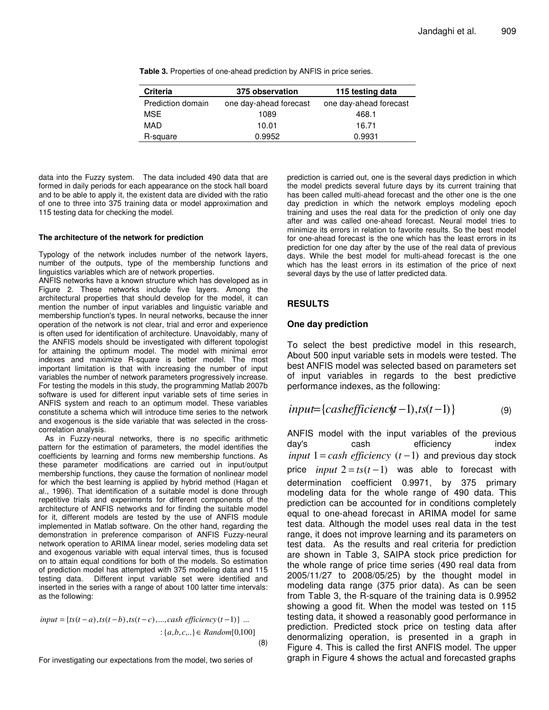| <b>Criteria</b>   | 375 observation        | 115 testing data       |  |
|-------------------|------------------------|------------------------|--|
| Prediction domain | one day-ahead forecast | one day-ahead forecast |  |
| <b>MSE</b>        | 1089                   | 468.1                  |  |
| MAD               | 10.01                  | 16.71                  |  |
| R-square          | 0.9952                 | 0.9931                 |  |

**Table 3.** Properties of one-ahead prediction by ANFIS in price series.

data into the Fuzzy system. The data included 490 data that are formed in daily periods for each appearance on the stock hall board and to be able to apply it, the existent data are divided with the ratio of one to three into 375 training data or model approximation and 115 testing data for checking the model.

## **The architecture of the network for prediction**

Typology of the network includes number of the network layers, number of the outputs, type of the membership functions and linguistics variables which are of network properties.

ANFIS networks have a known structure which has developed as in Figure 2. These networks include five layers. Among the architectural properties that should develop for the model, it can mention the number of input variables and linguistic variable and membership function's types. In neural networks, because the inner operation of the network is not clear, trial and error and experience is often used for identification of architecture. Unavoidably, many of the ANFIS models should be investigated with different topologist for attaining the optimum model. The model with minimal error indexes and maximize R-square is better model. The most important limitation is that with increasing the number of input variables the number of network parameters progressively increase. For testing the models in this study, the programming Matlab 2007b software is used for different input variable sets of time series in ANFIS system and reach to an optimum model. These variables constitute a schema which will introduce time series to the network and exogenous is the side variable that was selected in the crosscorrelation analysis.

As in Fuzzy-neural networks, there is no specific arithmetic pattern for the estimation of parameters, the model identifies the coefficients by learning and forms new membership functions. As these parameter modifications are carried out in input/output membership functions, they cause the formation of nonlinear model for which the best learning is applied by hybrid method (Hagan et al., 1996). That identification of a suitable model is done through repetitive trials and experiments for different components of the architecture of ANFIS networks and for finding the suitable model for it, different models are tested by the use of ANFIS module implemented in Matlab software. On the other hand, regarding the demonstration in preference comparison of ANFIS Fuzzy-neural network operation to ARIMA linear model, series modeling data set and exogenous variable with equal interval times, thus is focused on to attain equal conditions for both of the models. So estimation of prediction model has attempted with 375 modeling data and 115 testing data. Different input variable set were identified and inserted in the series with a range of about 100 latter time intervals: as the following:

input = {ts(t-a), ts(t-b), ts(t-c), ..., cash efficiency(t-1)} ...  
 : {a,b,c,..\} 
$$
\in
$$
 Random[0,100] (8)

For investigating our expectations from the model, two series of

prediction is carried out, one is the several days prediction in which the model predicts several future days by its current training that has been called multi-ahead forecast and the other one is the one day prediction in which the network employs modeling epoch training and uses the real data for the prediction of only one day after and was called one-ahead forecast. Neural model tries to minimize its errors in relation to favorite results. So the best model for one-ahead forecast is the one which has the least errors in its prediction for one day after by the use of the real data of previous days. While the best model for multi-ahead forecast is the one which has the least errors in its estimation of the price of next several days by the use of latter predicted data.

## **RESULTS**

## **One day prediction**

To select the best predictive model in this research, About 500 input variable sets in models were tested. The best ANFIS model was selected based on parameters set of input variables in regards to the best predictive performance indexes, as the following:

$$
input = \{cash efficiency(-1), ts(t-1)\}\tag{9}
$$

ANFIS model with the input variables of the previous day's cash efficiency index  $input 1 = cash efficiency (t-1)$  and previous day stock price *input*  $2 = ts(t-1)$  was able to forecast with determination coefficient 0.9971, by 375 primary modeling data for the whole range of 490 data. This prediction can be accounted for in conditions completely equal to one-ahead forecast in ARIMA model for same test data. Although the model uses real data in the test range, it does not improve learning and its parameters on test data. As the results and real criteria for prediction are shown in Table 3, SAIPA stock price prediction for the whole range of price time series (490 real data from 2005/11/27 to 2008/05/25) by the thought model in modeling data range (375 prior data). As can be seen from Table 3, the R-square of the training data is 0.9952 showing a good fit. When the model was tested on 115 testing data, it showed a reasonably good performance in prediction. Predicted stock price on testing data after denormalizing operation, is presented in a graph in Figure 4. This is called the first ANFIS model. The upper graph in Figure 4 shows the actual and forecasted graphs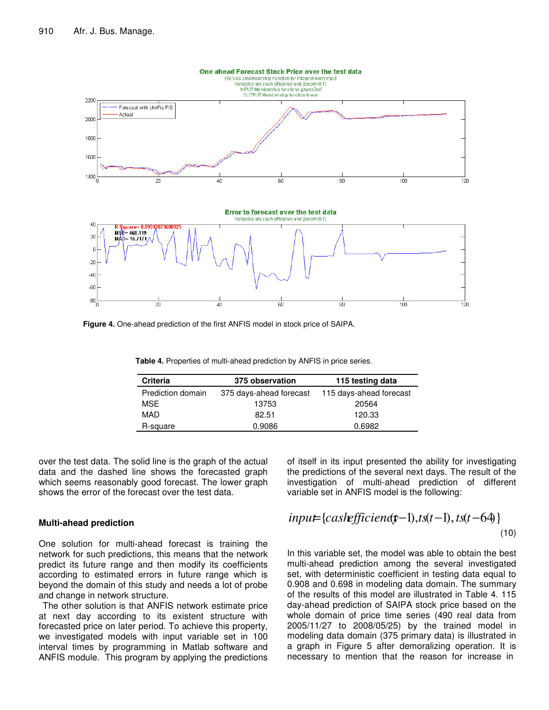

**Figure 4.** One-ahead prediction of the first ANFIS model in stock price of SAIPA.

| <b>Criteria</b>   | 375 observation         | 115 testing data        |  |
|-------------------|-------------------------|-------------------------|--|
| Prediction domain | 375 days-ahead forecast | 115 days-ahead forecast |  |
| <b>MSE</b>        | 13753                   | 20564                   |  |
| MAD               | 82.51                   | 120.33                  |  |
| R-square          | 0.9086                  | 0.6982                  |  |

**Table 4.** Properties of multi-ahead prediction by ANFIS in price series.

over the test data. The solid line is the graph of the actual data and the dashed line shows the forecasted graph which seems reasonably good forecast. The lower graph shows the error of the forecast over the test data.

## **Multi-ahead prediction**

One solution for multi-ahead forecast is training the network for such predictions, this means that the network predict its future range and then modify its coefficients according to estimated errors in future range which is beyond the domain of this study and needs a lot of probe and change in network structure.

The other solution is that ANFIS network estimate price at next day according to its existent structure with forecasted price on later period. To achieve this property, we investigated models with input variable set in 100 interval times by programming in Matlab software and ANFIS module. This program by applying the predictions

the predictions of the several next days. The result of the investigation of multi-ahead prediction of different variable set in ANFIS model is the following:

of itself in its input presented the ability for investigating

$$
input = \{cashefficient(y-1), ts(t-1), ts(t-64)\}\tag{10}
$$

In this variable set, the model was able to obtain the best multi-ahead prediction among the several investigated set, with deterministic coefficient in testing data equal to 0.908 and 0.698 in modeling data domain. The summary of the results of this model are illustrated in Table 4. 115 day-ahead prediction of SAIPA stock price based on the whole domain of price time series (490 real data from 2005/11/27 to 2008/05/25) by the trained model in modeling data domain (375 primary data) is illustrated in a graph in Figure 5 after demoralizing operation. It is necessary to mention that the reason for increase in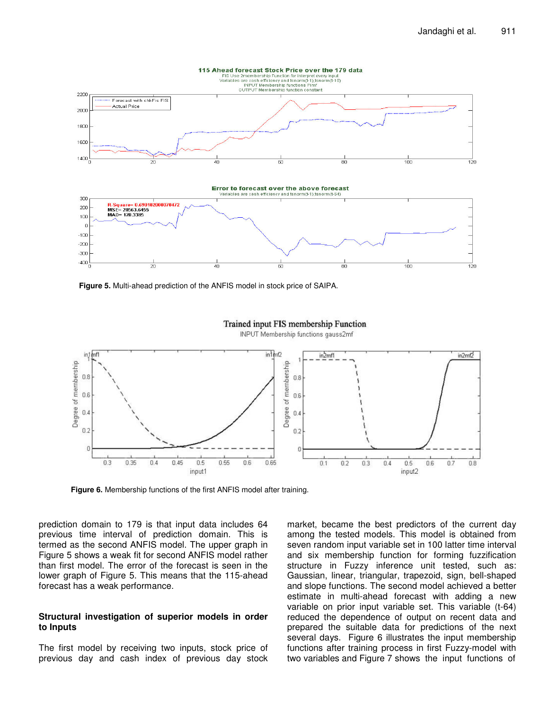

**Figure 5.** Multi-ahead prediction of the ANFIS model in stock price of SAIPA.



## Trained input FIS membership Function

INPUT Membership functions gauss2mf

**Figure 6.** Membership functions of the first ANFIS model after training.

prediction domain to 179 is that input data includes 64 previous time interval of prediction domain. This is termed as the second ANFIS model. The upper graph in Figure 5 shows a weak fit for second ANFIS model rather than first model. The error of the forecast is seen in the lower graph of Figure 5. This means that the 115-ahead forecast has a weak performance.

## **Structural investigation of superior models in order to Inputs**

The first model by receiving two inputs, stock price of previous day and cash index of previous day stock market, became the best predictors of the current day among the tested models. This model is obtained from seven random input variable set in 100 latter time interval and six membership function for forming fuzzification structure in Fuzzy inference unit tested, such as: Gaussian, linear, triangular, trapezoid, sign, bell-shaped and slope functions. The second model achieved a better estimate in multi-ahead forecast with adding a new variable on prior input variable set. This variable (t-64) reduced the dependence of output on recent data and prepared the suitable data for predictions of the next several days. Figure 6 illustrates the input membership functions after training process in first Fuzzy-model with two variables and Figure 7 shows the input functions of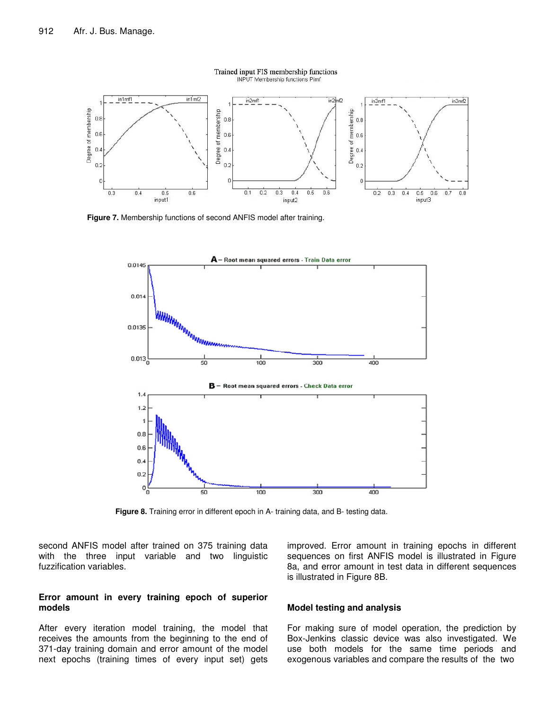

Trained input FIS membership functions **INPUT Membership functions Pimf** 

**Figure 7.** Membership functions of second ANFIS model after training.



**Figure 8.** Training error in different epoch in A- training data, and B- testing data.

second ANFIS model after trained on 375 training data with the three input variable and two linguistic fuzzification variables.

## **Error amount in every training epoch of superior models**

After every iteration model training, the model that receives the amounts from the beginning to the end of 371-day training domain and error amount of the model next epochs (training times of every input set) gets improved. Error amount in training epochs in different sequences on first ANFIS model is illustrated in Figure 8a, and error amount in test data in different sequences is illustrated in Figure 8B.

## **Model testing and analysis**

For making sure of model operation, the prediction by Box-Jenkins classic device was also investigated. We use both models for the same time periods and exogenous variables and compare the results of the two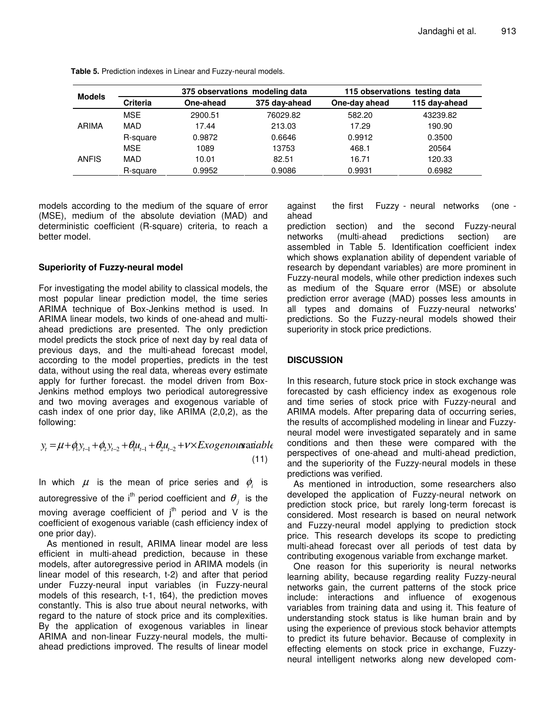| <b>Models</b> | 375 observations modeling data |           | 115 observations testing data |               |               |
|---------------|--------------------------------|-----------|-------------------------------|---------------|---------------|
|               | <b>Criteria</b>                | One-ahead | 375 day-ahead                 | One-day ahead | 115 day-ahead |
| ARIMA         | <b>MSE</b>                     | 2900.51   | 76029.82                      | 582.20        | 43239.82      |
|               | MAD                            | 17.44     | 213.03                        | 17.29         | 190.90        |
|               | R-square                       | 0.9872    | 0.6646                        | 0.9912        | 0.3500        |
| ANFIS         | <b>MSE</b>                     | 1089      | 13753                         | 468.1         | 20564         |
|               | MAD                            | 10.01     | 82.51                         | 16.71         | 120.33        |
|               | R-square                       | 0.9952    | 0.9086                        | 0.9931        | 0.6982        |

**Table 5.** Prediction indexes in Linear and Fuzzy-neural models.

models according to the medium of the square of error (MSE), medium of the absolute deviation (MAD) and deterministic coefficient (R-square) criteria, to reach a better model.

## **Superiority of Fuzzy-neural model**

For investigating the model ability to classical models, the most popular linear prediction model, the time series ARIMA technique of Box-Jenkins method is used. In ARIMA linear models, two kinds of one-ahead and multiahead predictions are presented. The only prediction model predicts the stock price of next day by real data of previous days, and the multi-ahead forecast model, according to the model properties, predicts in the test data, without using the real data, whereas every estimate apply for further forecast. the model driven from Box-Jenkins method employs two periodical autoregressive and two moving averages and exogenous variable of cash index of one prior day, like ARIMA (2,0,2), as the following:

$$
y_{t} = \mu + \phi_{1} y_{t-1} + \phi_{2} y_{t-2} + \theta_{1} u_{t-1} + \theta_{2} u_{t-2} + v \times Exogenous \text{ariable}
$$
\n(11)

In which  $\mu$  is the mean of price series and  $\phi_{i}$  is

autoregressive of the i<sup>th</sup> period coefficient and  $\theta_{_j}$  is the moving average coefficient of  $j<sup>th</sup>$  period and V is the coefficient of exogenous variable (cash efficiency index of one prior day).

As mentioned in result, ARIMA linear model are less efficient in multi-ahead prediction, because in these models, after autoregressive period in ARIMA models (in linear model of this research, t-2) and after that period under Fuzzy-neural input variables (in Fuzzy-neural models of this research, t-1, t64), the prediction moves constantly. This is also true about neural networks, with regard to the nature of stock price and its complexities. By the application of exogenous variables in linear ARIMA and non-linear Fuzzy-neural models, the multiahead predictions improved. The results of linear model against the first Fuzzy - neural networks (one ahead

prediction section) and the second Fuzzy-neural<br>networks (multi-ahead predictions section) are networks (multi-ahead predictions section) are assembled in Table 5. Identification coefficient index which shows explanation ability of dependent variable of research by dependant variables) are more prominent in Fuzzy-neural models, while other prediction indexes such as medium of the Square error (MSE) or absolute prediction error average (MAD) posses less amounts in all types and domains of Fuzzy-neural networks' predictions. So the Fuzzy-neural models showed their superiority in stock price predictions.

# **DISCUSSION**

In this research, future stock price in stock exchange was forecasted by cash efficiency index as exogenous role and time series of stock price with Fuzzy-neural and ARIMA models. After preparing data of occurring series, the results of accomplished modeling in linear and Fuzzyneural model were investigated separately and in same conditions and then these were compared with the perspectives of one-ahead and multi-ahead prediction, and the superiority of the Fuzzy-neural models in these predictions was verified.

As mentioned in introduction, some researchers also developed the application of Fuzzy-neural network on prediction stock price, but rarely long-term forecast is considered. Most research is based on neural network and Fuzzy-neural model applying to prediction stock price. This research develops its scope to predicting multi-ahead forecast over all periods of test data by contributing exogenous variable from exchange market.

One reason for this superiority is neural networks learning ability, because regarding reality Fuzzy-neural networks gain, the current patterns of the stock price include: interactions and influence of exogenous variables from training data and using it. This feature of understanding stock status is like human brain and by using the experience of previous stock behavior attempts to predict its future behavior. Because of complexity in effecting elements on stock price in exchange, Fuzzyneural intelligent networks along new developed com